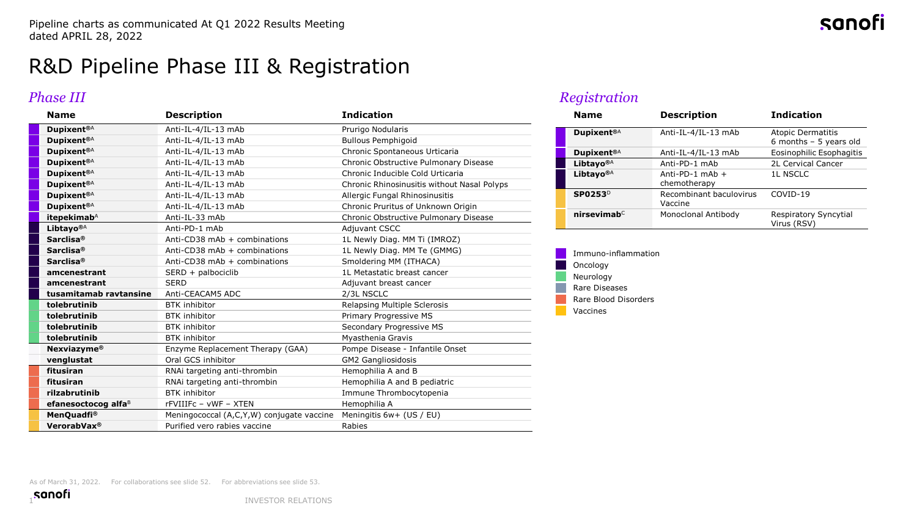# R&D Pipeline Phase III & Registration

### *Phase III*

| <b>Name</b>                     | <b>Description</b>                        | <b>Indication</b>                           |
|---------------------------------|-------------------------------------------|---------------------------------------------|
| <b>Dupixent®A</b>               | Anti-IL-4/IL-13 mAb                       | Prurigo Nodularis                           |
| Dupixent <sup>®A</sup>          | Anti-IL-4/IL-13 mAb                       | <b>Bullous Pemphigoid</b>                   |
| Dupixent <sup>®A</sup>          | Anti-IL-4/IL-13 mAb                       | Chronic Spontaneous Urticaria               |
| Dupixent <sup>®A</sup>          | Anti-IL-4/IL-13 mAb                       | Chronic Obstructive Pulmonary Disease       |
| Dupixent <sup>®A</sup>          | Anti-IL-4/IL-13 mAb                       | Chronic Inducible Cold Urticaria            |
| Dupixent <sup>®A</sup>          | Anti-IL-4/IL-13 mAb                       | Chronic Rhinosinusitis without Nasal Polyps |
| Dupixent <sup>®A</sup>          | Anti-IL-4/IL-13 mAb                       | Allergic Fungal Rhinosinusitis              |
| <b>Dupixent®A</b>               | Anti-IL-4/IL-13 mAb                       | Chronic Pruritus of Unknown Origin          |
| itepekimab <sup>A</sup>         | Anti-IL-33 mAb                            | Chronic Obstructive Pulmonary Disease       |
| Libtayo <sup>®A</sup>           | Anti-PD-1 mAb                             | <b>Adiuvant CSCC</b>                        |
| Sarclisa <sup>®</sup>           | Anti-CD38 mAb + combinations              | 1L Newly Diag. MM Ti (IMROZ)                |
| Sarclisa <sup>®</sup>           | Anti-CD38 mAb + combinations              | 1L Newly Diag. MM Te (GMMG)                 |
| Sarclisa <sup>®</sup>           | Anti-CD38 mAb $+$ combinations            | Smoldering MM (ITHACA)                      |
| amcenestrant                    | SERD + palbociclib                        | 1L Metastatic breast cancer                 |
| amcenestrant                    | <b>SERD</b>                               | Adjuvant breast cancer                      |
| tusamitamab ravtansine          | Anti-CEACAM5 ADC                          | 2/3L NSCLC                                  |
| tolebrutinib                    | <b>BTK</b> inhibitor                      | Relapsing Multiple Sclerosis                |
| tolebrutinib                    | <b>BTK</b> inhibitor                      | Primary Progressive MS                      |
| tolebrutinib                    | <b>BTK</b> inhibitor                      | Secondary Progressive MS                    |
| tolebrutinib                    | <b>BTK</b> inhibitor                      | Myasthenia Gravis                           |
| <b>Nexviazyme®</b>              | Enzyme Replacement Therapy (GAA)          | Pompe Disease - Infantile Onset             |
| venglustat                      | Oral GCS inhibitor                        | <b>GM2 Gangliosidosis</b>                   |
| fitusiran                       | RNAi targeting anti-thrombin              | Hemophilia A and B                          |
| fitusiran                       | RNAi targeting anti-thrombin              | Hemophilia A and B pediatric                |
| rilzabrutinib                   | <b>BTK</b> inhibitor                      | Immune Thrombocytopenia                     |
| efanesoctocog alfa <sup>B</sup> | rFVIIIFc - vWF - XTEN                     | Hemophilia A                                |
| MenQuadfi <sup>®</sup>          | Meningococcal (A,C,Y,W) conjugate vaccine | Meningitis 6w+ (US / EU)                    |
| VerorabVax <sup>®</sup>         | Purified vero rabies vaccine              | Rabies                                      |

#### *Registration*

| <b>Name</b>                | <b>Description</b>                 | <b>Indication</b>                                   |
|----------------------------|------------------------------------|-----------------------------------------------------|
| Dupixent <sup>®A</sup>     | Anti-IL-4/IL-13 mAb                | <b>Atopic Dermatitis</b><br>6 months $-5$ years old |
| Dupixent <sup>®A</sup>     | Anti-IL-4/IL-13 mAb                | Eosinophilic Esophagitis                            |
| Libtayo <sup>®A</sup>      | Anti-PD-1 mAb                      | 2L Cervical Cancer                                  |
| Libtavo <sup>®A</sup>      | Anti-PD-1 mAb $+$<br>chemotherapy  | <b>1L NSCLC</b>                                     |
| <b>SP0253</b> <sup>D</sup> | Recombinant baculovirus<br>Vaccine | COVID-19                                            |
| $n$ irsevimab $\circ$      | Monoclonal Antibody                | Respiratory Syncytial<br>Virus (RSV)                |

Immuno-inflammation Oncology Neurology Rare Diseases Rare Blood Disorders Vaccines

sanof

As of March 31, 2022. For collaborations see slide 52. For abbreviations see slide 53.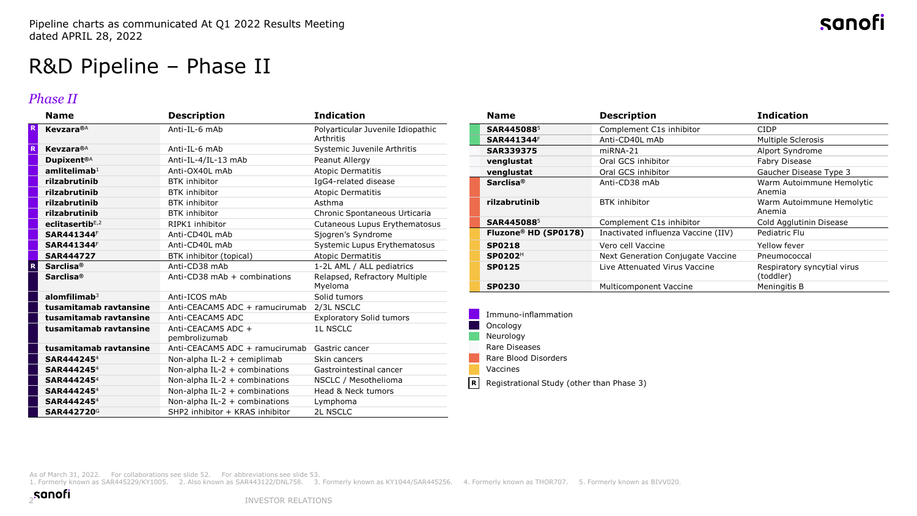# R&D Pipeline – Phase II

#### *Phase II*

|   | <b>Name</b>              | <b>Description</b>                  | <b>Indication</b>                                     |
|---|--------------------------|-------------------------------------|-------------------------------------------------------|
| R | <b>Kevzara</b> ®A        | Anti-IL-6 mAb                       | Polyarticular Juvenile Idiopathic<br><b>Arthritis</b> |
| R | <b>Kevzara</b> ®A        | Anti-IL-6 mAb                       | Systemic Juvenile Arthritis                           |
|   | Dupixent <sup>®A</sup>   | Anti-IL-4/IL-13 mAb                 | Peanut Allergy                                        |
|   | amlitelimah <sup>1</sup> | Anti-OX40L mAb                      | <b>Atopic Dermatitis</b>                              |
|   | rilzabrutinib            | <b>BTK</b> inhibitor                | IgG4-related disease                                  |
|   | rilzabrutinib            | <b>BTK</b> inhibitor                | <b>Atopic Dermatitis</b>                              |
|   | rilzabrutinib            | <b>BTK</b> inhibitor                | Asthma                                                |
|   | rilzabrutinib            | <b>BTK</b> inhibitor                | Chronic Spontaneous Urticaria                         |
|   | eclitasertib $E, 2$      | RIPK1 inhibitor                     | Cutaneous Lupus Erythematosus                         |
|   | SAR441344F               | Anti-CD40L mAb                      | Sjogren's Syndrome                                    |
|   | SAR441344F               | Anti-CD40L mAb                      | Systemic Lupus Erythematosus                          |
|   | SAR444727                | BTK inhibitor (topical)             | <b>Atopic Dermatitis</b>                              |
| R | Sarclisa <sup>®</sup>    | Anti-CD38 mAb                       | 1-2L AML / ALL pediatrics                             |
|   | Sarclisa <sup>®</sup>    | Anti-CD38 mAb + combinations        | Relapsed, Refractory Multiple<br>Myeloma              |
|   | $al$ omfilimab $3$       | Anti-ICOS mAb                       | Solid tumors                                          |
|   | tusamitamab ravtansine   | Anti-CEACAM5 ADC + ramucirumab      | 2/3L NSCLC                                            |
|   | tusamitamab ravtansine   | Anti-CEACAM5 ADC                    | <b>Exploratory Solid tumors</b>                       |
|   | tusamitamab ravtansine   | Anti-CEACAM5 ADC +<br>pembrolizumab | <b>1L NSCLC</b>                                       |
|   | tusamitamab ravtansine   | Anti-CEACAM5 ADC + ramucirumab      | Gastric cancer                                        |
|   | SAR444245 <sup>4</sup>   | Non-alpha IL-2 + cemiplimab         | Skin cancers                                          |
|   | SAR444245 <sup>4</sup>   | Non-alpha IL-2 + combinations       | Gastrointestinal cancer                               |
|   | SAR4442454               | Non-alpha IL-2 + combinations       | NSCLC / Mesothelioma                                  |
|   | SAR4442454               | Non-alpha IL-2 + combinations       | Head & Neck tumors                                    |
|   | SAR4442454               | Non-alpha IL-2 + combinations       | Lymphoma                                              |
|   | SAR442720G               | SHP2 inhibitor + KRAS inhibitor     | <b>2L NSCLC</b>                                       |

| <b>Name</b>                      | <b>Description</b>                  | <b>Indication</b>                        |
|----------------------------------|-------------------------------------|------------------------------------------|
| SAR4450885                       | Complement C1s inhibitor            | CIDP                                     |
| <b>SAR441344F</b>                | Anti-CD40L mAb                      | <b>Multiple Sclerosis</b>                |
| <b>SAR339375</b>                 | miRNA-21                            | Alport Syndrome                          |
| venglustat                       | Oral GCS inhibitor                  | <b>Fabry Disease</b>                     |
| venglustat                       | Oral GCS inhibitor                  | Gaucher Disease Type 3                   |
| Sarclisa <sup>®</sup>            | Anti-CD38 mAb                       | Warm Autoimmune Hemolytic<br>Anemia      |
| rilzabrutinib                    | <b>BTK</b> inhibitor                | Warm Autoimmune Hemolytic<br>Anemia      |
| SAR4450885                       | Complement C1s inhibitor            | Cold Agglutinin Disease                  |
| Fluzone <sup>®</sup> HD (SP0178) | Inactivated influenza Vaccine (IIV) | Pediatric Flu                            |
| <b>SP0218</b>                    | Vero cell Vaccine                   | Yellow fever                             |
| SP0202 <sup>H</sup>              | Next Generation Conjugate Vaccine   | Pneumococcal                             |
| <b>SP0125</b>                    | Live Attenuated Virus Vaccine       | Respiratory syncytial virus<br>(toddler) |
| <b>SP0230</b>                    | Multicomponent Vaccine              | Meningitis B                             |

sanofi

| Immuno-inflammation                       |
|-------------------------------------------|
| Oncology                                  |
| Neurology                                 |
| Rare Diseases                             |
| Rare Blood Disorders                      |
| Vaccines                                  |
| Registrational Study (other than Phase 3) |

As of March 31, 2022. For collaborations see slide 52. For abbreviations see slide 53.

1. Formerly known as SAR445229/KY1005. 2. Also known as SAR443122/DNL758. 3. Formerly known as KY1044/SAR445256. 4. Formerly known as THOR707. 5. Formerly known as BIVV020.